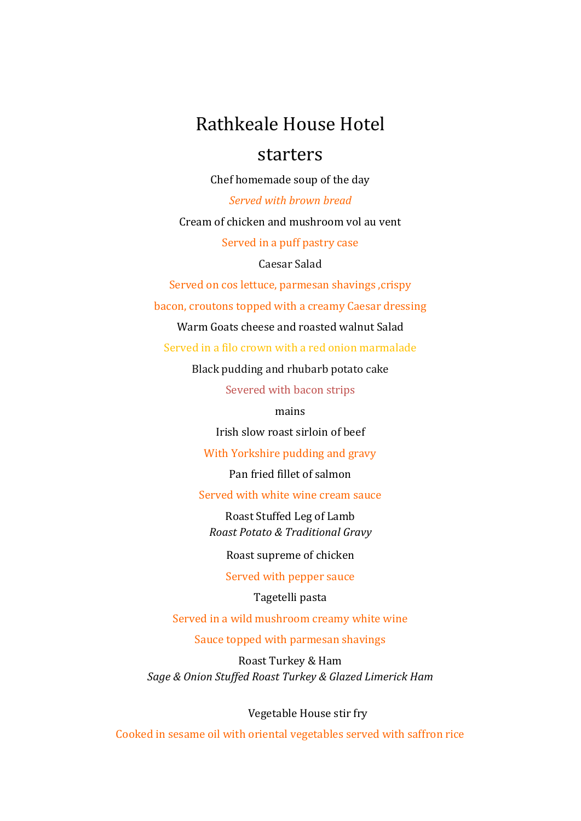# Rathkeale House Hotel

# starters

Chef homemade soup of the day

Served with brown bread Cream of chicken and mushroom vol au vent Served in a puff pastry case

Caesar Salad

Served on cos lettuce, parmesan shavings, crispy

bacon, croutons topped with a creamy Caesar dressing

Warm Goats cheese and roasted walnut Salad

Served in a filo crown with a red onion marmalade

Black pudding and rhubarb potato cake

Severed with bacon strips

mains

Irish slow roast sirloin of beef

With Yorkshire pudding and gravy

Pan fried fillet of salmon

Served with white wine cream sauce

Roast Stuffed Leg of Lamb Roast Potato & Traditional Gravy

Roast supreme of chicken

Served with pepper sauce

Tagetelli pasta

Served in a wild mushroom creamy white wine

Sauce topped with parmesan shavings

Roast Turkey & Ham Sage & Onion Stuffed Roast Turkey & Glazed Limerick Ham

Vegetable House stir fry

Cooked in sesame oil with oriental vegetables served with saffron rice